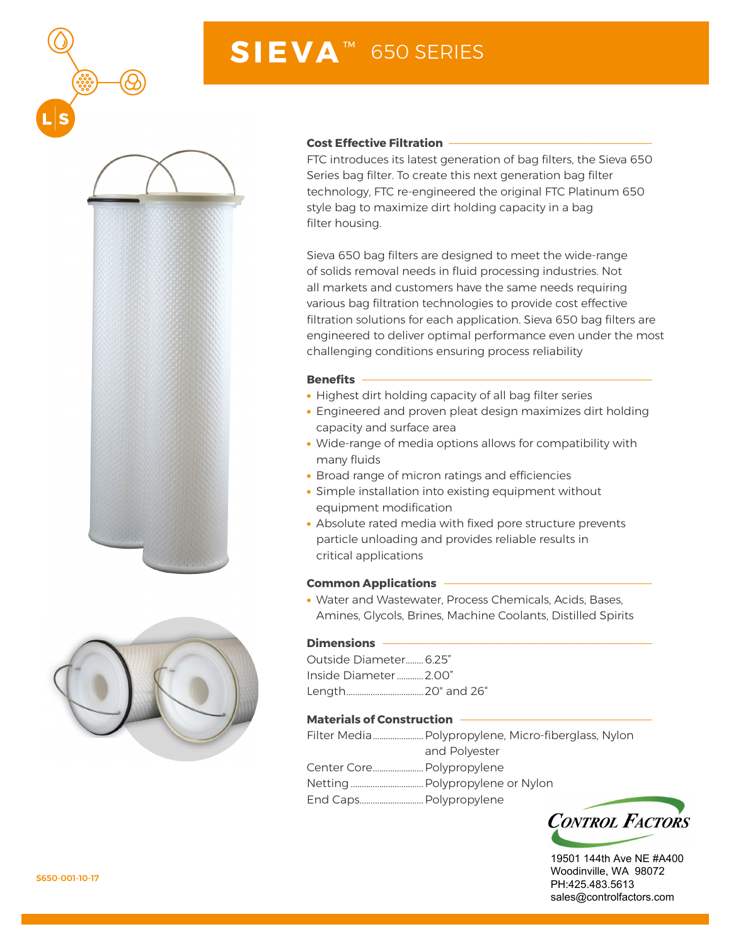

# **SIEVA** ™ 650 SERIES





#### **Cost Effective Filtration --**

FTC introduces its latest generation of bag filters, the Sieva 650 Series bag filter. To create this next generation bag filter technology, FTC re-engineered the original FTC Platinum 650 style bag to maximize dirt holding capacity in a bag filter housing.

Sieva 650 bag filters are designed to meet the wide-range of solids removal needs in fluid processing industries. Not all markets and customers have the same needs requiring various bag filtration technologies to provide cost effective filtration solutions for each application. Sieva 650 bag filters are engineered to deliver optimal performance even under the most challenging conditions ensuring process reliability

#### **Benefits**

- Highest dirt holding capacity of all bag filter series
- Engineered and proven pleat design maximizes dirt holding capacity and surface area
- Wide-range of media options allows for compatibility with many fluids
- Broad range of micron ratings and efficiencies
- Simple installation into existing equipment without equipment modification
- Absolute rated media with fixed pore structure prevents particle unloading and provides reliable results in critical applications

#### **Common Applications --**

• Water and Wastewater, Process Chemicals, Acids, Bases, Amines, Glycols, Brines, Machine Coolants, Distilled Spirits

#### **Dimensions**

Outside Diameter........6.25" Inside Diameter............2.00" Length...................................20" and 26"

#### **Materials of Construction -**

| and Polyester |
|---------------|
|               |
|               |
|               |



19501 144th Ave NE #A400 Woodinville, WA 98072 PH:425.483.5613 sales@controlfactors.com